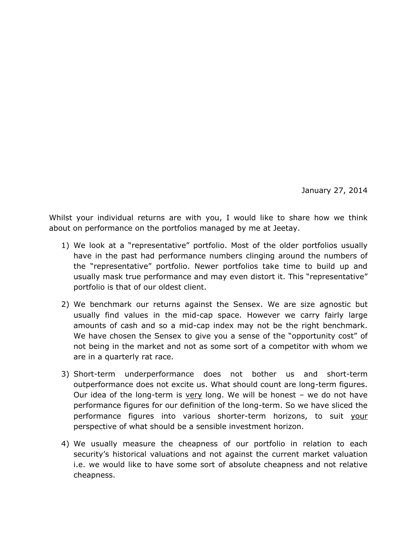January 27, 2014

Whilst your individual returns are with you, I would like to share how we think about on performance on the portfolios managed by me at Jeetay.

- 1) We look at a "representative" portfolio. Most of the older portfolios usually have in the past had performance numbers clinging around the numbers of the "representative" portfolio. Newer portfolios take time to build up and usually mask true performance and may even distort it. This "representative" portfolio is that of our oldest client.
- 2) We benchmark our returns against the Sensex. We are size agnostic but usually find values in the mid-cap space. However we carry fairly large amounts of cash and so a mid-cap index may not be the right benchmark. We have chosen the Sensex to give you a sense of the "opportunity cost" of not being in the market and not as some sort of a competitor with whom we are in a quarterly rat race.
- 3) Short-term underperformance does not bother us and short-term outperformance does not excite us. What should count are long-term figures. Our idea of the long-term is very long. We will be honest  $-$  we do not have performance figures for our definition of the long-term. So we have sliced the performance figures into various shorter-term horizons, to suit your perspective of what should be a sensible investment horizon.
- 4) We usually measure the cheapness of our portfolio in relation to each security's historical valuations and not against the current market valuation i.e. we would like to have some sort of absolute cheapness and not relative cheapness.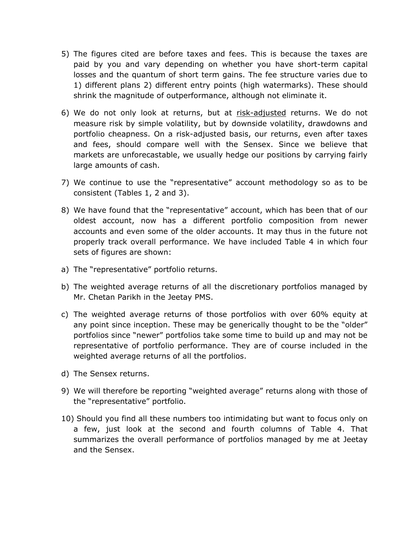- 5) The figures cited are before taxes and fees. This is because the taxes are paid by you and vary depending on whether you have short-term capital losses and the quantum of short term gains. The fee structure varies due to 1) different plans 2) different entry points (high watermarks). These should shrink the magnitude of outperformance, although not eliminate it.
- 6) We do not only look at returns, but at risk-adjusted returns. We do not measure risk by simple volatility, but by downside volatility, drawdowns and portfolio cheapness. On a risk-adjusted basis, our returns, even after taxes and fees, should compare well with the Sensex. Since we believe that markets are unforecastable, we usually hedge our positions by carrying fairly large amounts of cash.
- 7) We continue to use the "representative" account methodology so as to be consistent (Tables 1, 2 and 3).
- 8) We have found that the "representative" account, which has been that of our oldest account, now has a different portfolio composition from newer accounts and even some of the older accounts. It may thus in the future not properly track overall performance. We have included Table 4 in which four sets of figures are shown:
- a) The "representative" portfolio returns.
- b) The weighted average returns of all the discretionary portfolios managed by Mr. Chetan Parikh in the Jeetay PMS.
- c) The weighted average returns of those portfolios with over 60% equity at any point since inception. These may be generically thought to be the "older" portfolios since "newer" portfolios take some time to build up and may not be representative of portfolio performance. They are of course included in the weighted average returns of all the portfolios.
- d) The Sensex returns.
- 9) We will therefore be reporting "weighted average" returns along with those of the "representative" portfolio.
- 10) Should you find all these numbers too intimidating but want to focus only on a few, just look at the second and fourth columns of Table 4. That summarizes the overall performance of portfolios managed by me at Jeetay and the Sensex.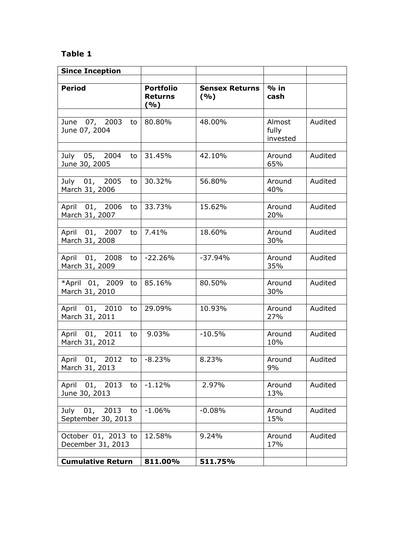## **Table 1**

| <b>Since Inception</b>                       |                                            |                              |                             |         |
|----------------------------------------------|--------------------------------------------|------------------------------|-----------------------------|---------|
| <b>Period</b>                                | <b>Portfolio</b><br><b>Returns</b><br>( %) | <b>Sensex Returns</b><br>(%) | $%$ in<br>cash              |         |
| June 07, 2003 to<br>June 07, 2004            | 80.80%                                     | 48.00%                       | Almost<br>fully<br>invested | Audited |
| July 05, 2004<br>to<br>June 30, 2005         | 31.45%                                     | 42.10%                       | Around<br>65%               | Audited |
| July 01, 2005<br>to<br>March 31, 2006        | 30.32%                                     | 56.80%                       | Around<br>40%               | Audited |
| April 01, 2006<br>to<br>March 31, 2007       | 33.73%                                     | 15.62%                       | Around<br>20%               | Audited |
| April 01, 2007<br>to<br>March 31, 2008       | 7.41%                                      | 18.60%                       | Around<br>30%               | Audited |
| April 01, 2008<br>to<br>March 31, 2009       | $-22.26%$                                  | $-37.94%$                    | Around<br>35%               | Audited |
| *April 01, 2009 to<br>March 31, 2010         | 85.16%                                     | 80.50%                       | Around<br>30%               | Audited |
| April 01, 2010<br>to<br>March 31, 2011       | 29.09%                                     | 10.93%                       | Around<br>27%               | Audited |
| April 01, 2011<br>to<br>March 31, 2012       | 9.03%                                      | $-10.5%$                     | Around<br>10%               | Audited |
| April 01, 2012<br>to<br>March 31, 2013       | $-8.23%$                                   | 8.23%                        | Around<br>9%                | Audited |
| April 01, 2013<br>to<br>June 30, 2013        | $-1.12%$                                   | 2.97%                        | Around<br>13%               | Audited |
| 2013<br>July 01,<br>to<br>September 30, 2013 | $-1.06%$                                   | $-0.08%$                     | Around<br>15%               | Audited |
| October 01, 2013 to<br>December 31, 2013     | 12.58%                                     | 9.24%                        | Around<br>17%               | Audited |
| <b>Cumulative Return</b>                     | 811.00%                                    | 511.75%                      |                             |         |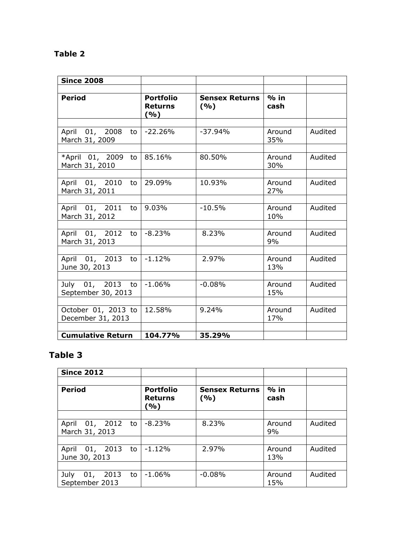# **Table 2**

| <b>Since 2008</b>                         |                                           |                              |                |         |
|-------------------------------------------|-------------------------------------------|------------------------------|----------------|---------|
| <b>Period</b>                             | <b>Portfolio</b><br><b>Returns</b><br>(%) | <b>Sensex Returns</b><br>(%) | $%$ in<br>cash |         |
| April 01, 2008<br>March 31, 2009          | to $-22.26%$                              | $-37.94%$                    | Around<br>35%  | Audited |
| *April 01, 2009<br>March 31, 2010         | to $85.16%$                               | 80.50%                       | Around<br>30%  | Audited |
| April 01, 2010<br>to<br>March 31, 2011    | 29.09%                                    | 10.93%                       | Around<br>27%  | Audited |
| April 01, 2011 to 9.03%<br>March 31, 2012 |                                           | $-10.5%$                     | Around<br>10%  | Audited |
| April 01, 2012<br>March 31, 2013          | to $-8.23%$                               | 8.23%                        | Around<br>9%   | Audited |
| April 01, 2013<br>June 30, 2013           | to $-1.12%$                               | 2.97%                        | Around<br>13%  | Audited |
| July 01, 2013 to<br>September 30, 2013    | $-1.06%$                                  | $-0.08%$                     | Around<br>15%  | Audited |
| October 01, 2013 to<br>December 31, 2013  | 12.58%                                    | 9.24%                        | Around<br>17%  | Audited |
| <b>Cumulative Return</b>                  | 104.77%                                   | 35.29%                       |                |         |

# **Table 3**

| <b>Since 2012</b>                           |                                           |                               |                |         |
|---------------------------------------------|-------------------------------------------|-------------------------------|----------------|---------|
| <b>Period</b>                               | <b>Portfolio</b><br><b>Returns</b><br>(%) | <b>Sensex Returns</b><br>( %) | $%$ in<br>cash |         |
|                                             |                                           |                               |                |         |
| 01, 2012<br>April<br>to<br>March 31, 2013   | $-8.23%$                                  | 8.23%                         | Around<br>9%   | Audited |
|                                             |                                           |                               |                |         |
| April 01, 2013<br>to<br>June 30, 2013       | $-1.12%$                                  | 2.97%                         | Around<br>13%  | Audited |
|                                             |                                           |                               |                |         |
| 2013<br>01,<br>July<br>to<br>September 2013 | $-1.06%$                                  | $-0.08%$                      | Around<br>15%  | Audited |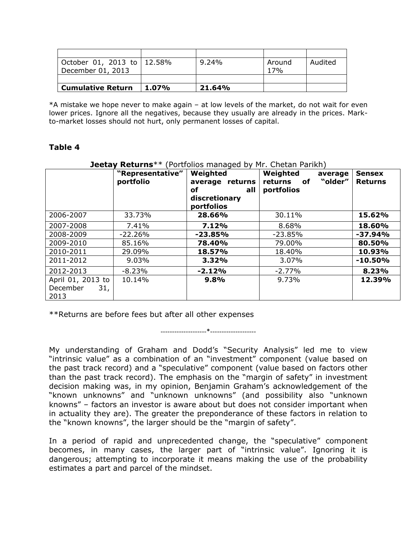| October 01, 2013 to   12.58% |          | $9.24\%$ | Around | Audited |
|------------------------------|----------|----------|--------|---------|
| December 01, 2013            |          |          | 17%    |         |
|                              |          |          |        |         |
| <b>Cumulative Return</b>     | $1.07\%$ | 21.64%   |        |         |

\*A mistake we hope never to make again – at low levels of the market, do not wait for even lower prices. Ignore all the negatives, because they usually are already in the prices. Markto-market losses should not hurt, only permanent losses of capital.

### **Table 4**

| JCCLU V<br>116681119<br><u>FULLOILOS MANAGULO DY FILE CHULCHI FULINIT</u> |                  |                 |                          |                |
|---------------------------------------------------------------------------|------------------|-----------------|--------------------------|----------------|
|                                                                           | "Representative" | Weighted        | Weighted<br>average      | <b>Sensex</b>  |
|                                                                           | portfolio        | average returns | "older"<br>returns<br>of | <b>Returns</b> |
|                                                                           |                  | оf<br>all       | portfolios               |                |
|                                                                           |                  | discretionary   |                          |                |
|                                                                           |                  | portfolios      |                          |                |
| 2006-2007                                                                 | 33.73%           | 28.66%          | 30.11%                   | 15.62%         |
| 2007-2008                                                                 | 7.41%            | 7.12%           | 8.68%                    | 18.60%         |
| 2008-2009                                                                 | $-22.26%$        | $-23.85%$       | $-23.85%$                | $-37.94%$      |
| 2009-2010                                                                 | 85.16%           | 78.40%          | 79.00%                   | 80.50%         |
| 2010-2011                                                                 | 29.09%           | 18.57%          | 18.40%                   | 10.93%         |
| 2011-2012                                                                 | $9.03\%$         | 3.32%           | $3.07\%$                 | $-10.50%$      |
| 2012-2013                                                                 | $-8.23%$         | $-2.12%$        | $-2.77%$                 | 8.23%          |
| April 01, 2013 to                                                         | 10.14%           | 9.8%            | 9.73%                    | 12.39%         |
| December<br>31,                                                           |                  |                 |                          |                |
| 2013                                                                      |                  |                 |                          |                |

### **Jeetay Returns**\*\* (Portfolios managed by Mr. Chetan Parikh)

\*\*Returns are before fees but after all other expenses

--------------------\*--------------------

My understanding of Graham and Dodd's "Security Analysis" led me to view "intrinsic value" as a combination of an "investment" component (value based on the past track record) and a "speculative" component (value based on factors other than the past track record). The emphasis on the "margin of safety" in investment decision making was, in my opinion, Benjamin Graham's acknowledgement of the "known unknowns" and "unknown unknowns" (and possibility also "unknown knowns" – factors an investor is aware about but does not consider important when in actuality they are). The greater the preponderance of these factors in relation to the "known knowns", the larger should be the "margin of safety".

In a period of rapid and unprecedented change, the "speculative" component becomes, in many cases, the larger part of "intrinsic value". Ignoring it is dangerous; attempting to incorporate it means making the use of the probability estimates a part and parcel of the mindset.